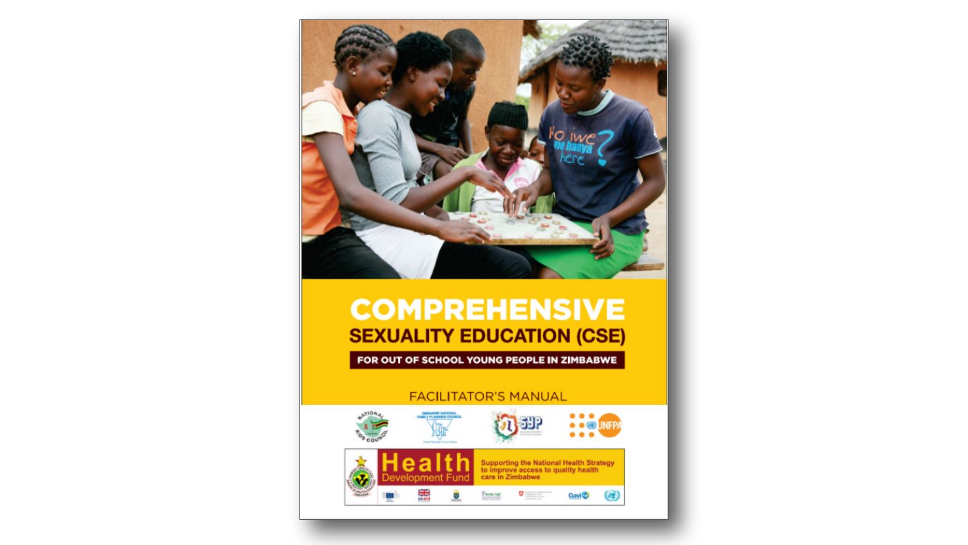

FOR OUT OF SCHOOL YOUNG PEOPLE IN ZIMBABWE

### **FACILITATOR'S MANUAL**

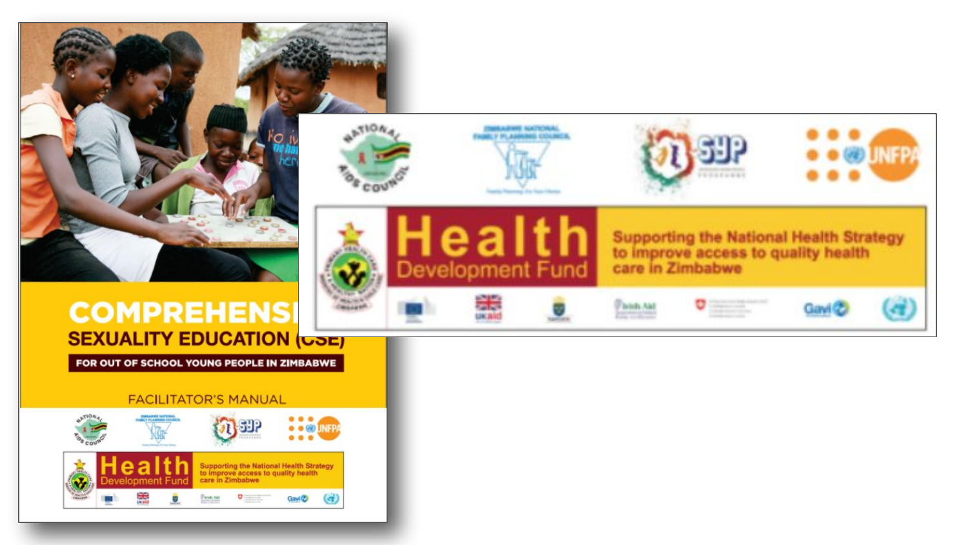

FOR OUT OF SCHOOL YOUNG PEOPLE IN ZIMBABWE

#### **FACILITATOR'S MANUAL**



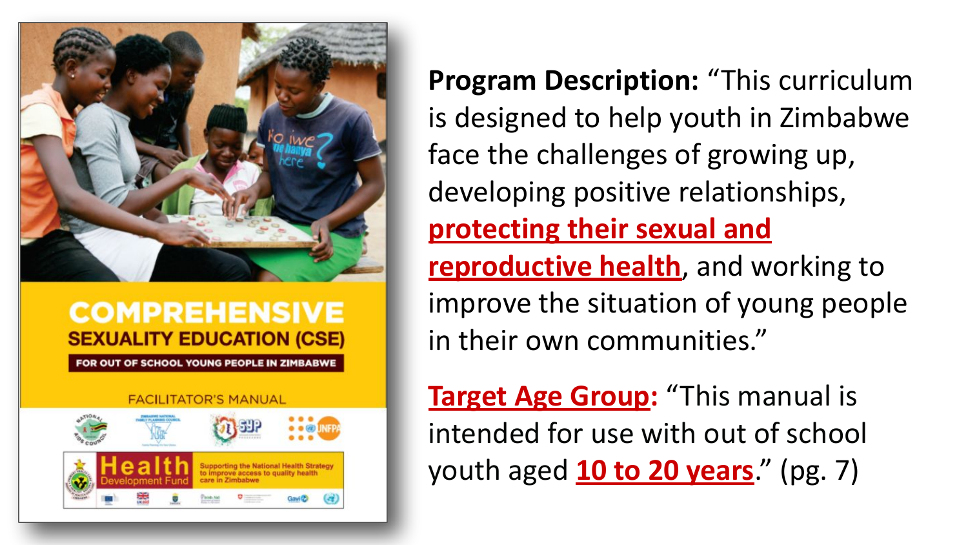

R OUT OF SCHOOL YOUNG PEOPLE IN ZIMBABWE



**Program Description:** "This curriculum is designed to help youth in Zimbabwe face the challenges of growing up, developing positive relationships, **protecting their sexual and reproductive health**, and working to improve the situation of young people in their own communities."

**Target Age Group:** "This manual is intended for use with out of school youth aged **10 to 20 years**." (pg. 7)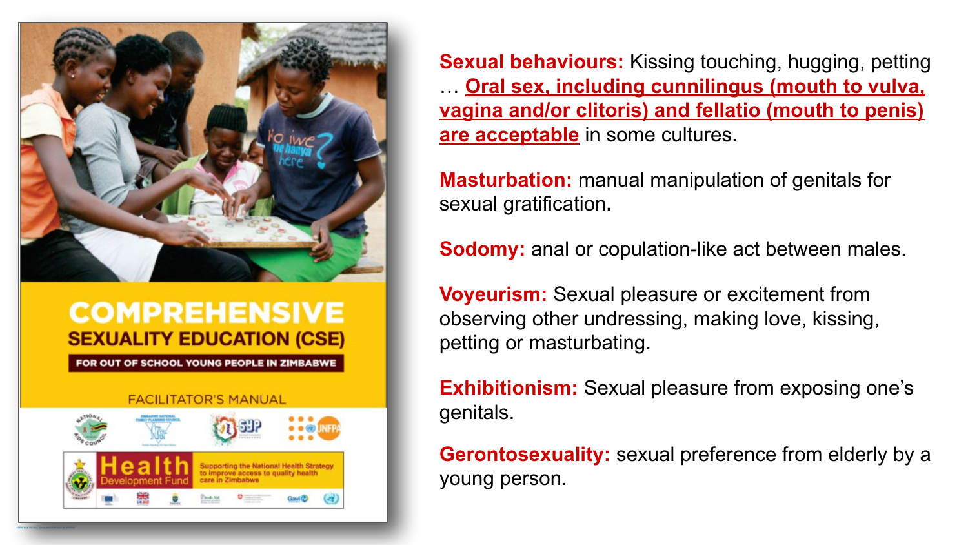

FOR OUT OF SCHOOL YOUNG PEOPLE IN ZIMBABWE



**Sexual behaviours:** Kissing touching, hugging, petting … **Oral sex, including cunnilingus (mouth to vulva, vagina and/or clitoris) and fellatio (mouth to penis) are acceptable** in some cultures.

**Masturbation:** manual manipulation of genitals for sexual gratification**.**

**Sodomy:** anal or copulation-like act between males.

**Voyeurism:** Sexual pleasure or excitement from observing other undressing, making love, kissing, petting or masturbating.

**Exhibitionism:** Sexual pleasure from exposing one's genitals.

**Gerontosexuality:** sexual preference from elderly by a young person.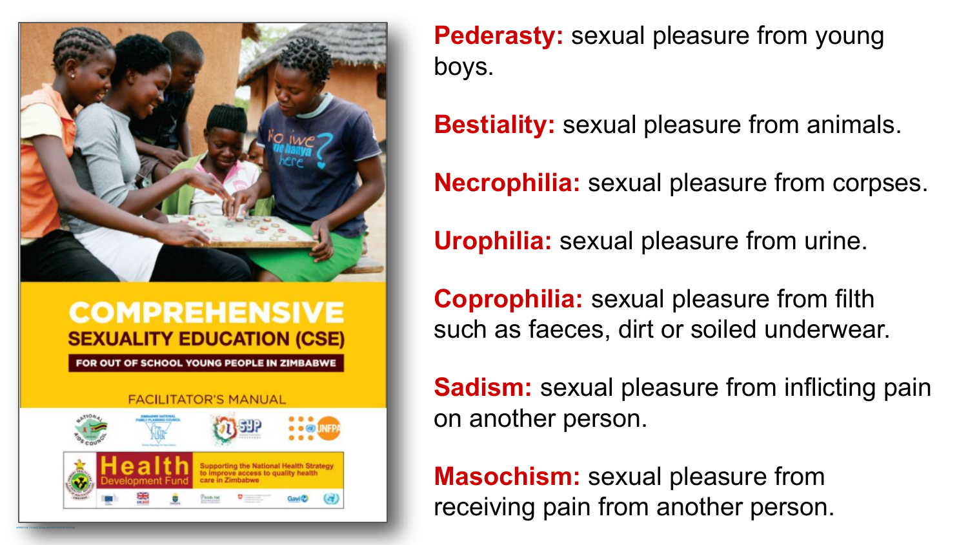

FOR OUT OF SCHOOL YOUNG PEOPLE IN ZIMBABWE



**Pederasty:** sexual pleasure from young boys.

**Bestiality:** sexual pleasure from animals.

**Necrophilia:** sexual pleasure from corpses.

**Urophilia:** sexual pleasure from urine.

**Coprophilia:** sexual pleasure from filth such as faeces, dirt or soiled underwear.

**Sadism:** sexual pleasure from inflicting pain on another person.

**Masochism:** sexual pleasure from receiving pain from another person.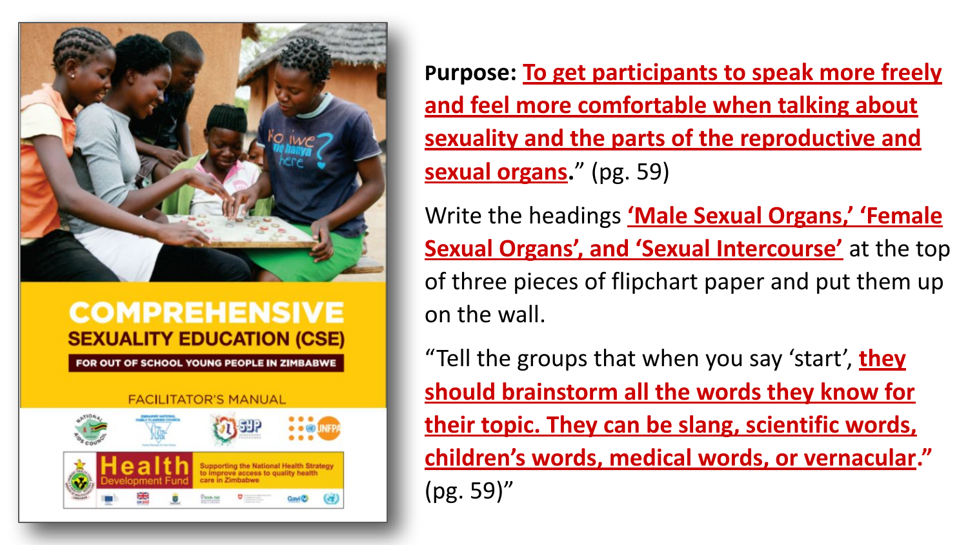

FOR OUT OF SCHOOL YOUNG PEOPLE IN ZIMBABWE



**Purpose: To get participants to speak more freely and feel more comfortable when talking about sexuality and the parts of the reproductive and sexual organs.**" (pg. 59)

Write the headings **'Male Sexual Organs,' 'Female Sexual Organs', and 'Sexual Intercourse'** at the top of three pieces of flipchart paper and put them up on the wall.

"Tell the groups that when you say 'start', **they should brainstorm all the words they know for their topic. They can be slang, scientific words, children's words, medical words, or vernacular."**  (pg. 59)"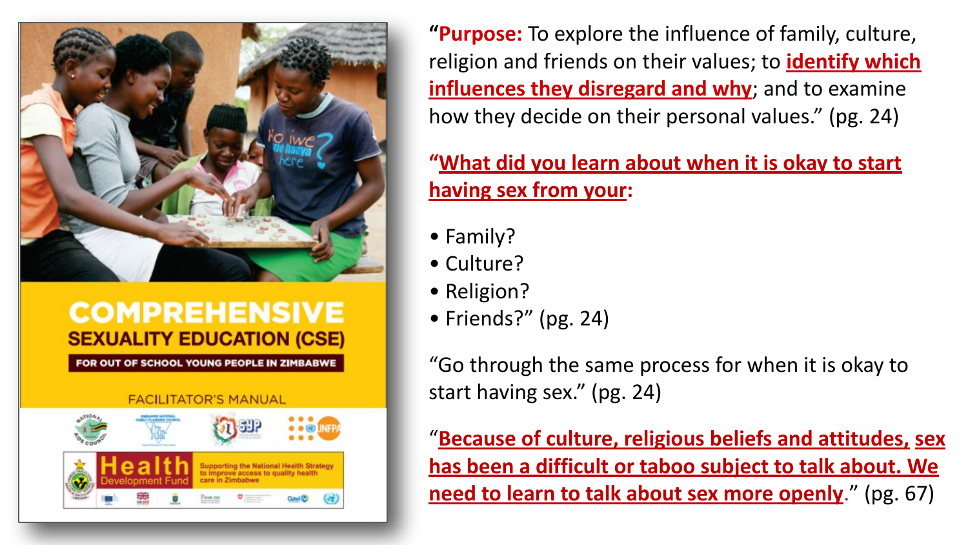

FOR OUT OF SCHOOL YOUNG PEOPLE IN ZIMBABWE



**"Purpose:** To explore the influence of family, culture, religion and friends on their values; to **identify which influences they disregard and why**; and to examine how they decide on their personal values." (pg. 24)

**"What did you learn about when it is okay to start having sex from your:**

- Family?
- Culture?
- Religion?
- Friends?" (pg. 24)

"Go through the same process for when it is okay to start having sex." (pg. 24)

"**Because of culture, religious beliefs and attitudes, sex has been a difficult or taboo subject to talk about. We need to learn to talk about sex more openly**." (pg. 67)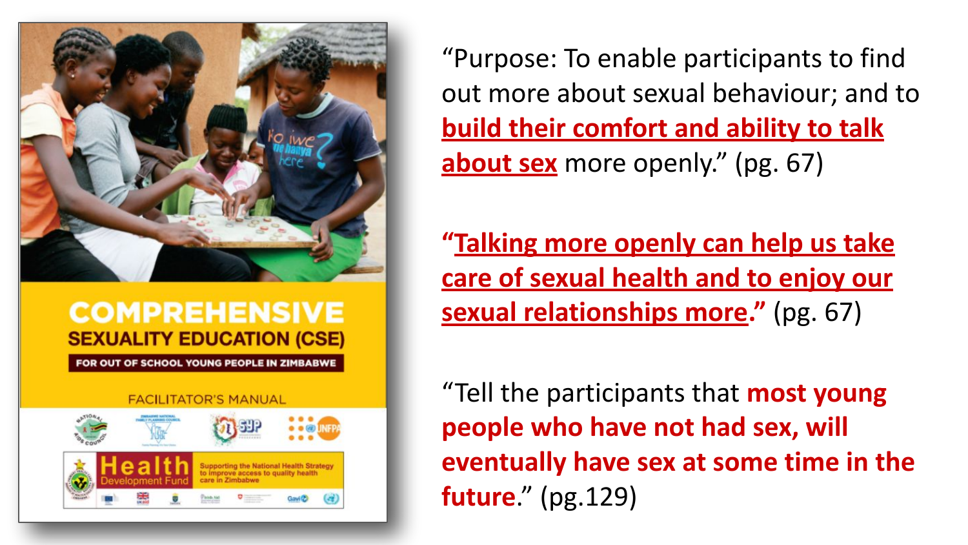

FOR OUT OF SCHOOL YOUNG PEOPLE IN ZIMBABWE



"Purpose: To enable participants to find out more about sexual behaviour; and to **build their comfort and ability to talk about sex** more openly." (pg. 67)

**"Talking more openly can help us take care of sexual health and to enjoy our sexual relationships more."** (pg. 67)

"Tell the participants that **most young people who have not had sex, will eventually have sex at some time in the future**." (pg.129)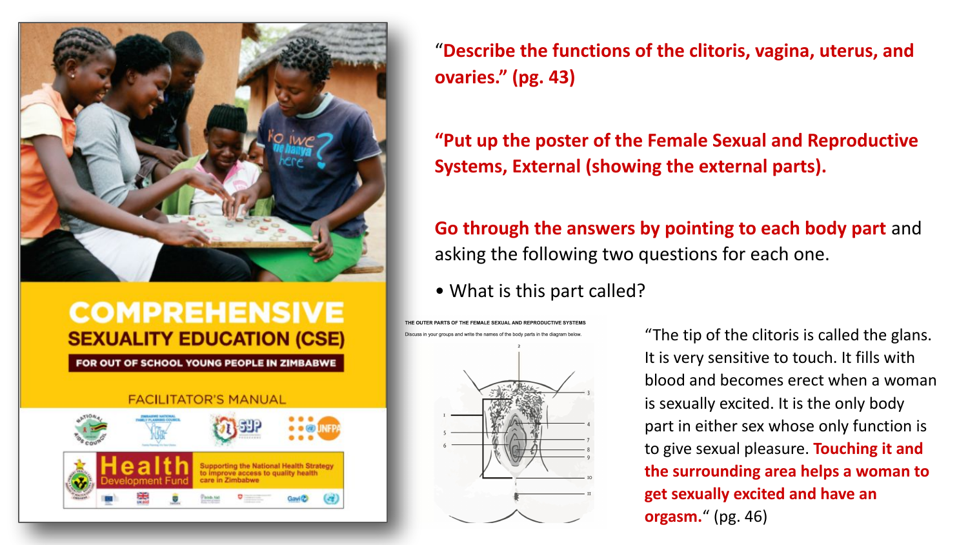

FOR OUT OF SCHOOL YOUNG PEOPLE IN ZIMBABWE

### **FACILITATOR'S MANUAL**



"**Describe the functions of the clitoris, vagina, uterus, and ovaries." (pg. 43)**

**"Put up the poster of the Female Sexual and Reproductive Systems, External (showing the external parts).** 

**Go through the answers by pointing to each body part** and asking the following two questions for each one.

• What is this part called?

THE CEMALE CEVILAL AND DEDDODUCTB Discuss in your groups and write the names of the body parts in the diagram below



"The tip of the clitoris is called the glans. It is very sensitive to touch. It fills with blood and becomes erect when a woman is sexually excited. It is the only body part in either sex whose only function is to give sexual pleasure. **Touching it and the surrounding area helps a woman to get sexually excited and have an orgasm.**" (pg. 46)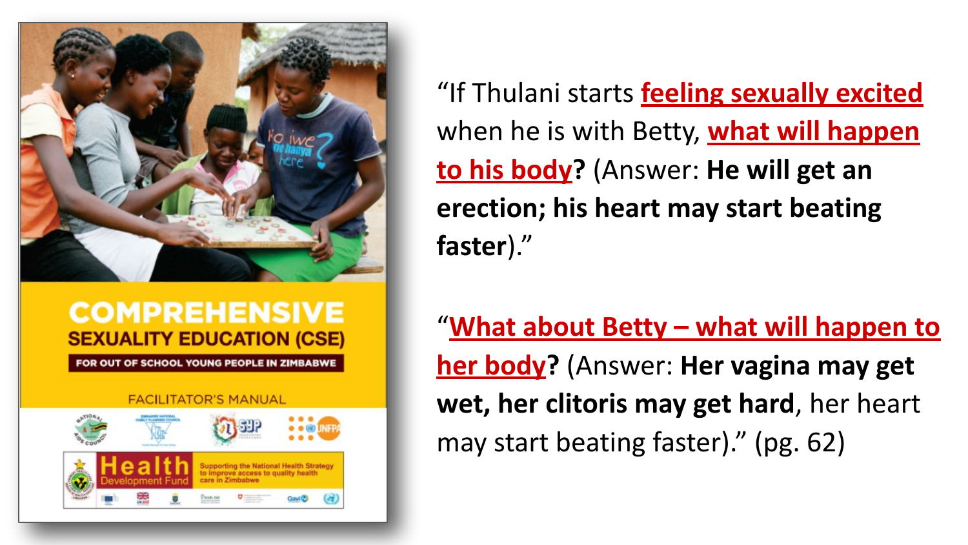

FOR OUT OF SCHOOL YOUNG PEOPLE IN ZIMBABWE



"If Thulani starts **feeling sexually excited** when he is with Betty, **what will happen to his body?** (Answer: **He will get an erection; his heart may start beating faster**)."

"**What about Betty – what will happen to her body?** (Answer: **Her vagina may get wet, her clitoris may get hard**, her heart may start beating faster)." (pg. 62)